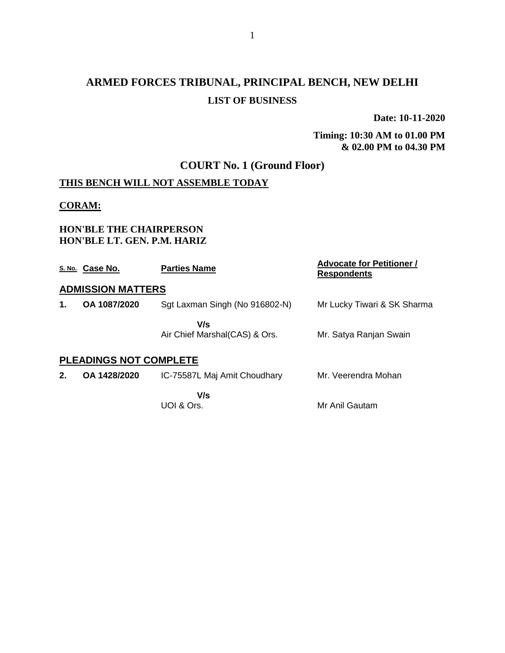# **ARMED FORCES TRIBUNAL, PRINCIPAL BENCH, NEW DELHI LIST OF BUSINESS**

**Date: 10-11-2020**

**Timing: 10:30 AM to 01.00 PM & 02.00 PM to 04.30 PM**

# **COURT No. 1 (Ground Floor)**

## **THIS BENCH WILL NOT ASSEMBLE TODAY**

#### **CORAM:**

#### **HON'BLE THE CHAIRPERSON HON'BLE LT. GEN. P.M. HARIZ**

|    | S. No. Case No.               | <b>Parties Name</b>                   | <b>Advocate for Petitioner /</b><br><b>Respondents</b> |
|----|-------------------------------|---------------------------------------|--------------------------------------------------------|
|    | <b>ADMISSION MATTERS</b>      |                                       |                                                        |
| 1. | OA 1087/2020                  | Sgt Laxman Singh (No 916802-N)        | Mr Lucky Tiwari & SK Sharma                            |
|    |                               | V/s<br>Air Chief Marshal (CAS) & Ors. | Mr. Satya Ranjan Swain                                 |
|    | <b>PLEADINGS NOT COMPLETE</b> |                                       |                                                        |
| 2. | OA 1428/2020                  | IC-75587L Maj Amit Choudhary          | Mr. Veerendra Mohan                                    |
|    |                               | V/s<br>UOI & Ors.                     | Mr Anil Gautam                                         |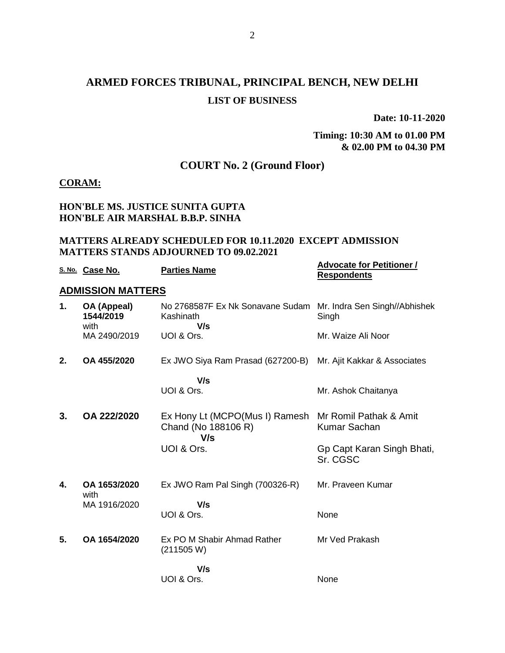# **ARMED FORCES TRIBUNAL, PRINCIPAL BENCH, NEW DELHI LIST OF BUSINESS**

**Date: 10-11-2020**

#### **Timing: 10:30 AM to 01.00 PM & 02.00 PM to 04.30 PM**

## **COURT No. 2 (Ground Floor)**

#### **CORAM:**

#### **HON'BLE MS. JUSTICE SUNITA GUPTA HON'BLE AIR MARSHAL B.B.P. SINHA**

#### **MATTERS ALREADY SCHEDULED FOR 10.11.2020 EXCEPT ADMISSION MATTERS STANDS ADJOURNED TO 09.02.2021**

|    | S. No. Case No.                  | <b>Parties Name</b>                                                                 | <b>Advocate for Petitioner /</b><br><b>Respondents</b> |
|----|----------------------------------|-------------------------------------------------------------------------------------|--------------------------------------------------------|
|    | <b>ADMISSION MATTERS</b>         |                                                                                     |                                                        |
| 1. | OA (Appeal)<br>1544/2019<br>with | No 2768587F Ex Nk Sonavane Sudam Mr. Indra Sen Singh//Abhishek<br>Kashinath<br>V/s  | Singh                                                  |
|    | MA 2490/2019                     | UOI & Ors.                                                                          | Mr. Waize Ali Noor                                     |
| 2. | OA 455/2020                      | Ex JWO Siya Ram Prasad (627200-B)                                                   | Mr. Ajit Kakkar & Associates                           |
|    |                                  | V/s<br>UOI & Ors.                                                                   | Mr. Ashok Chaitanya                                    |
| 3. | OA 222/2020                      | Ex Hony Lt (MCPO(Mus I) Ramesh Mr Romil Pathak & Amit<br>Chand (No 188106 R)<br>V/s | <b>Kumar Sachan</b>                                    |
|    |                                  | UOI & Ors.                                                                          | Gp Capt Karan Singh Bhati,<br>Sr. CGSC                 |
| 4. | OA 1653/2020<br>with             | Ex JWO Ram Pal Singh (700326-R)                                                     | Mr. Praveen Kumar                                      |
|    | MA 1916/2020                     | V/s<br>UOI & Ors.                                                                   | None                                                   |
| 5. | OA 1654/2020                     | Ex PO M Shabir Ahmad Rather<br>(211505 W)                                           | Mr Ved Prakash                                         |
|    |                                  | V/s<br>UOI & Ors.                                                                   | None                                                   |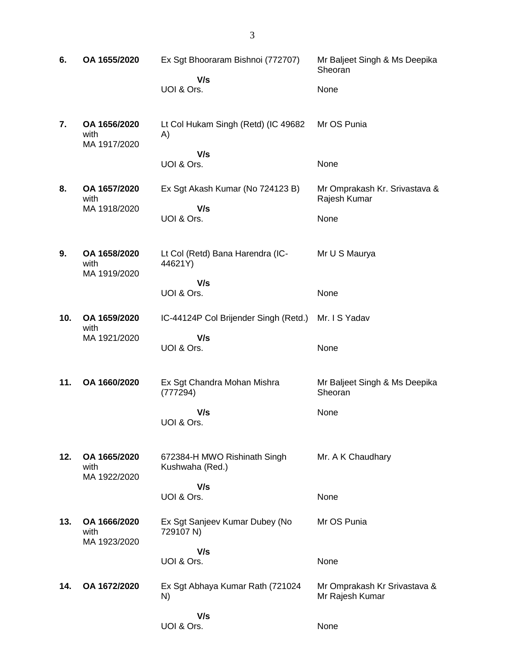| 6.  | OA 1655/2020                         | Ex Sgt Bhooraram Bishnoi (772707)               | Mr Baljeet Singh & Ms Deepika<br>Sheoran        |
|-----|--------------------------------------|-------------------------------------------------|-------------------------------------------------|
|     |                                      | V/s                                             |                                                 |
|     |                                      | UOI & Ors.                                      | None                                            |
| 7.  | OA 1656/2020<br>with<br>MA 1917/2020 | Lt Col Hukam Singh (Retd) (IC 49682<br>A)       | Mr OS Punia                                     |
|     |                                      | V/s<br>UOI & Ors.                               | None                                            |
| 8.  | OA 1657/2020<br>with<br>MA 1918/2020 | Ex Sgt Akash Kumar (No 724123 B)<br>V/s         | Mr Omprakash Kr. Srivastava &<br>Rajesh Kumar   |
|     |                                      | UOI & Ors.                                      | None                                            |
| 9.  | OA 1658/2020<br>with<br>MA 1919/2020 | Lt Col (Retd) Bana Harendra (IC-<br>44621Y)     | Mr U S Maurya                                   |
|     |                                      | V/s<br>UOI & Ors.                               | None                                            |
| 10. | OA 1659/2020<br>with                 | IC-44124P Col Brijender Singh (Retd.)           | Mr. I S Yadav                                   |
|     | MA 1921/2020                         | V/s<br>UOI & Ors.                               | None                                            |
| 11. | OA 1660/2020                         | Ex Sgt Chandra Mohan Mishra<br>(777294)         | Mr Baljeet Singh & Ms Deepika<br>Sheoran        |
|     |                                      | V/s<br>UOI & Ors.                               | None                                            |
| 12. | OA 1665/2020<br>with<br>MA 1922/2020 | 672384-H MWO Rishinath Singh<br>Kushwaha (Red.) | Mr. A K Chaudhary                               |
|     |                                      | V/s<br>UOI & Ors.                               | None                                            |
| 13. | OA 1666/2020<br>with<br>MA 1923/2020 | Ex Sgt Sanjeev Kumar Dubey (No<br>729107 N)     | Mr OS Punia                                     |
|     |                                      | V/s<br>UOI & Ors.                               | None                                            |
| 14. | OA 1672/2020                         | Ex Sgt Abhaya Kumar Rath (721024<br>N)          | Mr Omprakash Kr Srivastava &<br>Mr Rajesh Kumar |
|     |                                      | V/s<br>UOI & Ors.                               | None                                            |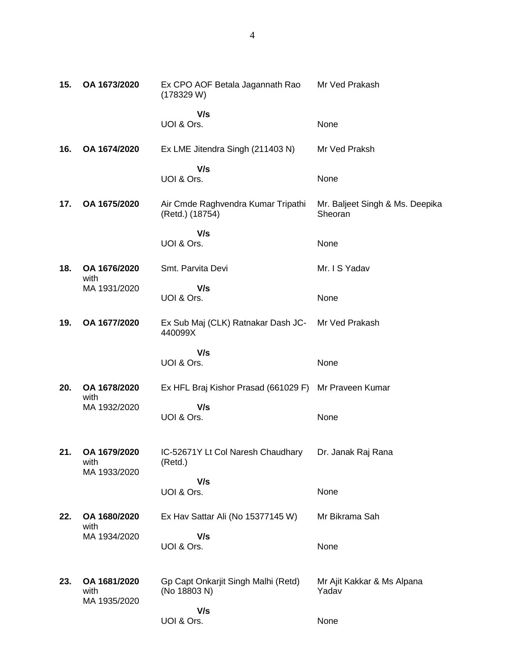| 15. | OA 1673/2020                         | Ex CPO AOF Betala Jagannath Rao<br>(178329 W)         | Mr Ved Prakash                             |
|-----|--------------------------------------|-------------------------------------------------------|--------------------------------------------|
|     |                                      | V/s<br>UOI & Ors.                                     | None                                       |
| 16. | OA 1674/2020                         | Ex LME Jitendra Singh (211403 N)                      | Mr Ved Praksh                              |
|     |                                      | V/s<br>UOI & Ors.                                     | None                                       |
| 17. | OA 1675/2020                         | Air Cmde Raghvendra Kumar Tripathi<br>(Retd.) (18754) | Mr. Baljeet Singh & Ms. Deepika<br>Sheoran |
|     |                                      | V/s<br>UOI & Ors.                                     | None                                       |
| 18. | OA 1676/2020<br>with                 | Smt. Parvita Devi                                     | Mr. I S Yadav                              |
|     | MA 1931/2020                         | V/s<br>UOI & Ors.                                     | None                                       |
| 19. | OA 1677/2020                         | Ex Sub Maj (CLK) Ratnakar Dash JC-<br>440099X         | Mr Ved Prakash                             |
|     |                                      | V/s<br>UOI & Ors.                                     | None                                       |
| 20. | OA 1678/2020<br>with                 | Ex HFL Braj Kishor Prasad (661029 F) Mr Praveen Kumar |                                            |
|     | MA 1932/2020                         | V/s<br>UOI & Ors.                                     | None                                       |
| 21. | OA 1679/2020<br>with<br>MA 1933/2020 | IC-52671Y Lt Col Naresh Chaudhary<br>(Retd.)          | Dr. Janak Raj Rana                         |
|     |                                      | V/s<br>UOI & Ors.                                     | None                                       |
| 22. | OA 1680/2020<br>with                 | Ex Hav Sattar Ali (No 15377145 W)                     | Mr Bikrama Sah                             |
|     | MA 1934/2020                         | V/s<br>UOI & Ors.                                     | None                                       |
| 23. | OA 1681/2020<br>with<br>MA 1935/2020 | Gp Capt Onkarjit Singh Malhi (Retd)<br>(No 18803 N)   | Mr Ajit Kakkar & Ms Alpana<br>Yadav        |
|     |                                      | V/s<br>UOI & Ors.                                     | None                                       |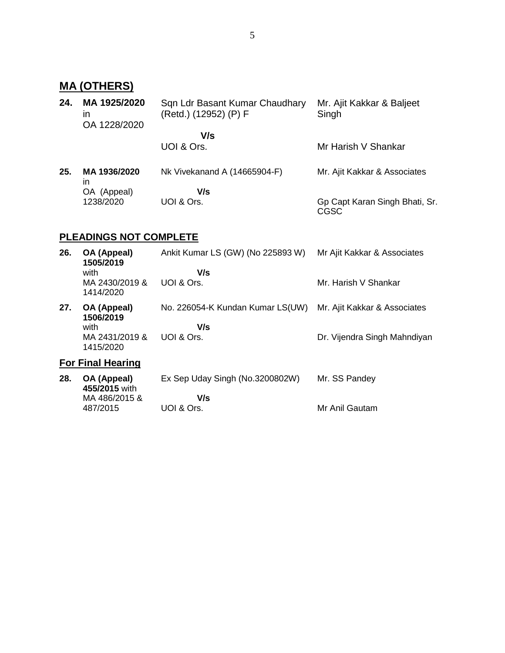# **MA (OTHERS)**

| 24. | MA 1925/2020<br>ın<br>OA 1228/2020 | Sqn Ldr Basant Kumar Chaudhary<br>(Retd.) (12952) (P) F | Mr. Ajit Kakkar & Baljeet<br>Singh     |
|-----|------------------------------------|---------------------------------------------------------|----------------------------------------|
|     |                                    | V/s                                                     |                                        |
|     |                                    | UOI & Ors.                                              | Mr Harish V Shankar                    |
| 25. | MA 1936/2020<br>ın                 | Nk Vivekanand A (14665904-F)                            | Mr. Ajit Kakkar & Associates           |
|     | OA (Appeal)                        | V/s                                                     |                                        |
|     | 1238/2020                          | UOI & Ors.                                              | Gp Capt Karan Singh Bhati, Sr.<br>CGSC |

## **PLEADINGS NOT COMPLETE**

| 26. | OA (Appeal)<br>1505/2019<br>with<br>MA 2430/2019 &<br>1414/2020 | Ankit Kumar LS (GW) (No 225893 W)<br>V/s<br>UOI & Ors. | Mr Ajit Kakkar & Associates<br>Mr. Harish V Shankar          |
|-----|-----------------------------------------------------------------|--------------------------------------------------------|--------------------------------------------------------------|
| 27. | OA (Appeal)<br>1506/2019<br>with<br>MA 2431/2019 &<br>1415/2020 | No. 226054-K Kundan Kumar LS(UW)<br>V/s<br>UOI & Ors.  | Mr. Ajit Kakkar & Associates<br>Dr. Vijendra Singh Mahndiyan |
|     | <b>For Final Hearing</b>                                        |                                                        |                                                              |
| 28. | OA (Appeal)<br>455/2015 with<br>MA 486/2015 &<br>487/2015       | Ex Sep Uday Singh (No.3200802W)<br>V/s<br>UOI & Ors.   | Mr. SS Pandey<br>Mr Anil Gautam                              |
|     |                                                                 |                                                        |                                                              |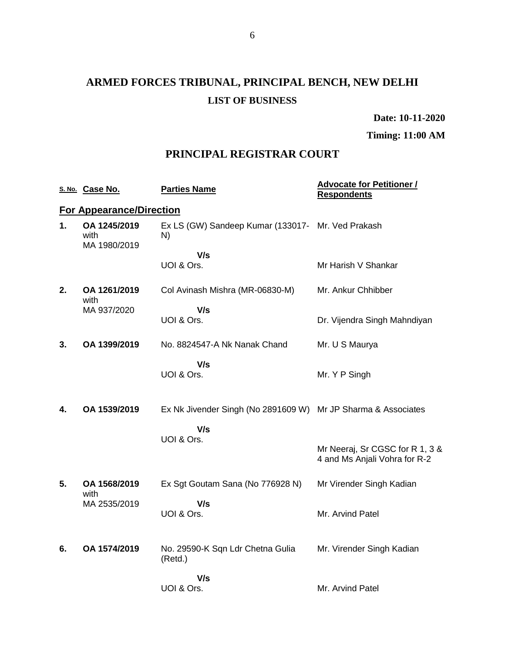# **ARMED FORCES TRIBUNAL, PRINCIPAL BENCH, NEW DELHI LIST OF BUSINESS**

**Date: 10-11-2020**

**Timing: 11:00 AM**

### **PRINCIPAL REGISTRAR COURT**

|    | S. No. Case No.                      | <b>Parties Name</b>                                     | <b>Advocate for Petitioner /</b><br><b>Respondents</b>           |
|----|--------------------------------------|---------------------------------------------------------|------------------------------------------------------------------|
|    | <b>For Appearance/Direction</b>      |                                                         |                                                                  |
| 1. | OA 1245/2019<br>with<br>MA 1980/2019 | Ex LS (GW) Sandeep Kumar (133017- Mr. Ved Prakash<br>N) |                                                                  |
|    |                                      | V/s                                                     |                                                                  |
|    |                                      | UOI & Ors.                                              | Mr Harish V Shankar                                              |
| 2. | OA 1261/2019<br>with                 | Col Avinash Mishra (MR-06830-M)                         | Mr. Ankur Chhibber                                               |
|    | MA 937/2020                          | V/s                                                     |                                                                  |
|    |                                      | UOI & Ors.                                              | Dr. Vijendra Singh Mahndiyan                                     |
| 3. | OA 1399/2019                         | No. 8824547-A Nk Nanak Chand                            | Mr. U S Maurya                                                   |
|    |                                      | V/s                                                     |                                                                  |
|    |                                      | UOI & Ors.                                              | Mr. Y P Singh                                                    |
| 4. | OA 1539/2019                         | Ex Nk Jivender Singh (No 2891609 W)                     | Mr JP Sharma & Associates                                        |
|    |                                      | V/s                                                     |                                                                  |
|    |                                      | UOI & Ors.                                              |                                                                  |
|    |                                      |                                                         | Mr Neeraj, Sr CGSC for R 1, 3 &<br>4 and Ms Anjali Vohra for R-2 |
| 5. | OA 1568/2019                         | Ex Sgt Goutam Sana (No 776928 N)                        | Mr Virender Singh Kadian                                         |
|    | with<br>MA 2535/2019                 | V/s                                                     |                                                                  |
|    |                                      | UOI & Ors.                                              | Mr. Arvind Patel                                                 |
|    |                                      |                                                         |                                                                  |
| 6. | OA 1574/2019                         | No. 29590-K Sqn Ldr Chetna Gulia<br>(Retd.)             | Mr. Virender Singh Kadian                                        |
|    |                                      | V/s                                                     |                                                                  |
|    |                                      | UOI & Ors.                                              | Mr. Arvind Patel                                                 |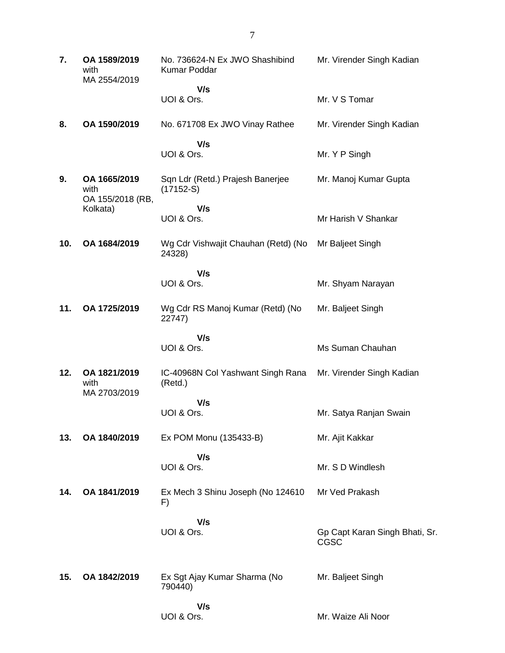| 7.  | OA 1589/2019<br>with<br>MA 2554/2019     | No. 736624-N Ex JWO Shashibind<br>Kumar Poddar  | Mr. Virender Singh Kadian              |
|-----|------------------------------------------|-------------------------------------------------|----------------------------------------|
|     |                                          | V/s<br>UOI & Ors.                               | Mr. V S Tomar                          |
| 8.  | OA 1590/2019                             | No. 671708 Ex JWO Vinay Rathee                  | Mr. Virender Singh Kadian              |
|     |                                          | V/s<br>UOI & Ors.                               | Mr. Y P Singh                          |
| 9.  | OA 1665/2019<br>with<br>OA 155/2018 (RB, | Sqn Ldr (Retd.) Prajesh Banerjee<br>$(17152-S)$ | Mr. Manoj Kumar Gupta                  |
|     | Kolkata)                                 | V/s<br>UOI & Ors.                               | Mr Harish V Shankar                    |
| 10. | OA 1684/2019                             | Wg Cdr Vishwajit Chauhan (Retd) (No<br>24328)   | Mr Baljeet Singh                       |
|     |                                          | V/s<br>UOI & Ors.                               | Mr. Shyam Narayan                      |
| 11. | OA 1725/2019                             | Wg Cdr RS Manoj Kumar (Retd) (No<br>22747)      | Mr. Baljeet Singh                      |
|     |                                          | V/s<br>UOI & Ors.                               | Ms Suman Chauhan                       |
| 12. | OA 1821/2019<br>with<br>MA 2703/2019     | IC-40968N Col Yashwant Singh Rana<br>(Retd.)    | Mr. Virender Singh Kadian              |
|     |                                          | V/s<br>UOI & Ors.                               | Mr. Satya Ranjan Swain                 |
| 13. | OA 1840/2019                             | Ex POM Monu (135433-B)                          | Mr. Ajit Kakkar                        |
|     |                                          | V/s<br>UOI & Ors.                               | Mr. S D Windlesh                       |
| 14. | OA 1841/2019                             | Ex Mech 3 Shinu Joseph (No 124610<br>F)         | Mr Ved Prakash                         |
|     |                                          | V/s<br>UOI & Ors.                               | Gp Capt Karan Singh Bhati, Sr.<br>CGSC |
| 15. | OA 1842/2019                             | Ex Sgt Ajay Kumar Sharma (No<br>790440)         | Mr. Baljeet Singh                      |
|     |                                          | V/s<br>UOI & Ors.                               | Mr. Waize Ali Noor                     |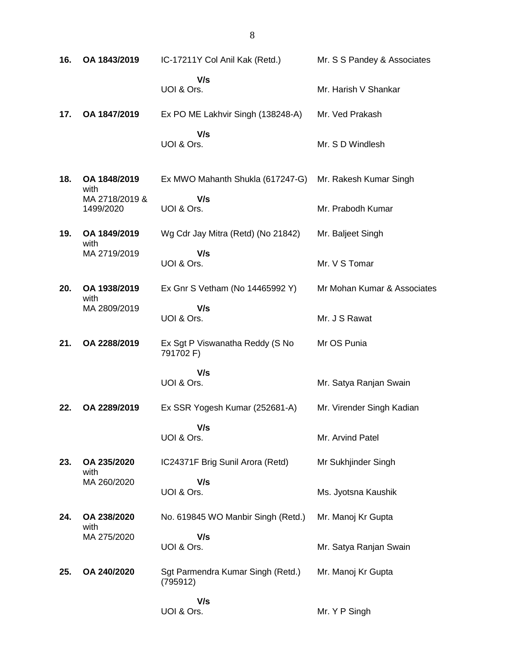**16. OA 1843/2019** IC-17211Y Col Anil Kak (Retd.)  **V/s** UOI & Ors. Mr. S S Pandey & Associates Mr. Harish V Shankar **17. OA 1847/2019** Ex PO ME Lakhvir Singh (138248-A)  **V/s** UOI & Ors. Mr. Ved Prakash Mr. S D Windlesh **18. OA 1848/2019** with MA 2718/2019 & 1499/2020 Ex MWO Mahanth Shukla (617247-G)  **V/s** UOI & Ors. Mr. Rakesh Kumar Singh Mr. Prabodh Kumar **19. OA 1849/2019** with MA 2719/2019 Wg Cdr Jay Mitra (Retd) (No 21842)  **V/s** UOI & Ors. Mr. Baljeet Singh Mr. V S Tomar **20. OA 1938/2019** with MA 2809/2019 Ex Gnr S Vetham (No 14465992 Y)  **V/s** UOI & Ors. Mr Mohan Kumar & Associates Mr. J S Rawat **21. OA 2288/2019** Ex Sgt P Viswanatha Reddy (S No 791702 F)  **V/s** UOI & Ors. Mr OS Punia Mr. Satya Ranjan Swain **22. OA 2289/2019** Ex SSR Yogesh Kumar (252681-A)  **V/s** UOI & Ors. Mr. Virender Singh Kadian Mr. Arvind Patel **23. OA 235/2020** with MA 260/2020 IC24371F Brig Sunil Arora (Retd)  **V/s** UOI & Ors. Mr Sukhjinder Singh Ms. Jyotsna Kaushik **24. OA 238/2020** with MA 275/2020 No. 619845 WO Manbir Singh (Retd.)  **V/s** UOI & Ors. Mr. Manoj Kr Gupta Mr. Satya Ranjan Swain **25. OA 240/2020** Sgt Parmendra Kumar Singh (Retd.) (795912)  **V/s** UOI & Ors. Mr. Manoj Kr Gupta Mr. Y P Singh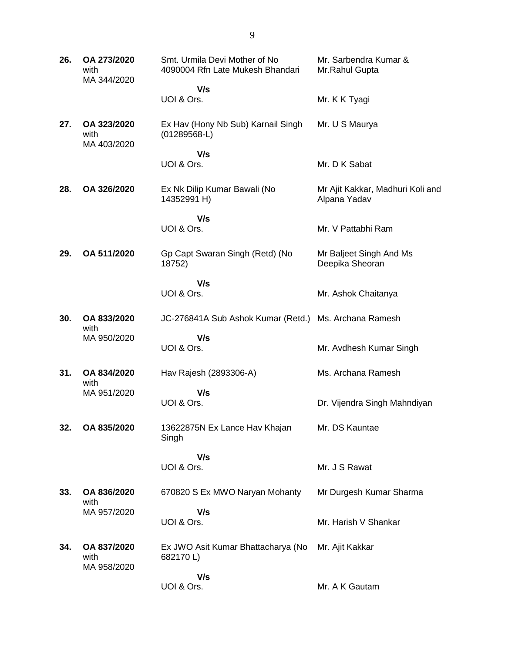**26. OA 273/2020** with MA 344/2020 Smt. Urmila Devi Mother of No 4090004 Rfn Late Mukesh Bhandari  **V/s** UOI & Ors. Mr. Sarbendra Kumar & Mr.Rahul Gupta Mr. K K Tyagi **27. OA 323/2020** with MA 403/2020 Ex Hav (Hony Nb Sub) Karnail Singh (01289568-L)  **V/s** UOI & Ors. Mr. U S Maurya Mr. D K Sabat **28. OA 326/2020** Ex Nk Dilip Kumar Bawali (No 14352991 H)  **V/s** UOI & Ors. Mr Ajit Kakkar, Madhuri Koli and Alpana Yadav Mr. V Pattabhi Ram **29. OA 511/2020** Gp Capt Swaran Singh (Retd) (No 18752)  **V/s** UOI & Ors. Mr Baljeet Singh And Ms Deepika Sheoran Mr. Ashok Chaitanya **30. OA 833/2020** with MA 950/2020 JC-276841A Sub Ashok Kumar (Retd.) Ms. Archana Ramesh  **V/s** UOI & Ors. Mr. Avdhesh Kumar Singh **31. OA 834/2020** with MA 951/2020 Hav Rajesh (2893306-A)  **V/s** UOI & Ors. Ms. Archana Ramesh Dr. Vijendra Singh Mahndiyan **32. OA 835/2020** 13622875N Ex Lance Hav Khajan Singh  **V/s** UOI & Ors. Mr. DS Kauntae Mr. J S Rawat **33. OA 836/2020** with MA 957/2020 670820 S Ex MWO Naryan Mohanty  **V/s** UOI & Ors. Mr Durgesh Kumar Sharma Mr. Harish V Shankar **34. OA 837/2020** with MA 958/2020 Ex JWO Asit Kumar Bhattacharya (No 682170 L)  **V/s** UOI & Ors. Mr. Ajit Kakkar Mr. A K Gautam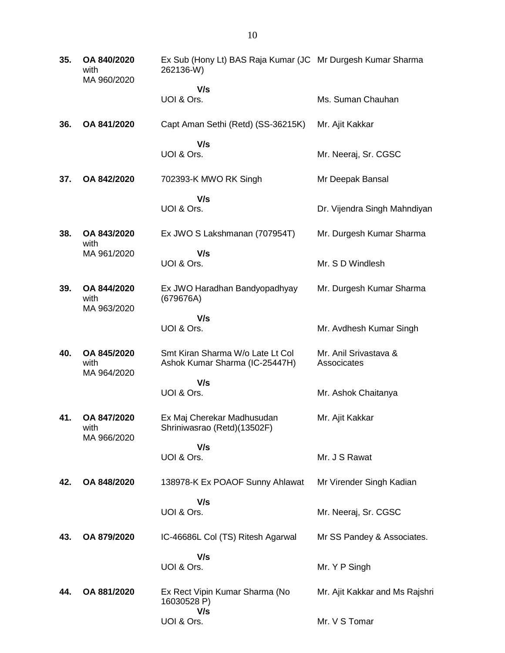| 35. | OA 840/2020<br>with<br>MA 960/2020 | Ex Sub (Hony Lt) BAS Raja Kumar (JC Mr Durgesh Kumar Sharma<br>262136-W) |                                      |
|-----|------------------------------------|--------------------------------------------------------------------------|--------------------------------------|
|     |                                    | V/s<br>UOI & Ors.                                                        | Ms. Suman Chauhan                    |
| 36. | OA 841/2020                        | Capt Aman Sethi (Retd) (SS-36215K)                                       | Mr. Ajit Kakkar                      |
|     |                                    | V/s<br>UOI & Ors.                                                        | Mr. Neeraj, Sr. CGSC                 |
| 37. | OA 842/2020                        | 702393-K MWO RK Singh                                                    | Mr Deepak Bansal                     |
|     |                                    | V/s<br>UOI & Ors.                                                        | Dr. Vijendra Singh Mahndiyan         |
| 38. | OA 843/2020<br>with                | Ex JWO S Lakshmanan (707954T)                                            | Mr. Durgesh Kumar Sharma             |
|     | MA 961/2020                        | V/s<br>UOI & Ors.                                                        | Mr. S D Windlesh                     |
| 39. | OA 844/2020<br>with<br>MA 963/2020 | Ex JWO Haradhan Bandyopadhyay<br>(679676A)                               | Mr. Durgesh Kumar Sharma             |
|     |                                    | V/s<br>UOI & Ors.                                                        | Mr. Avdhesh Kumar Singh              |
| 40. | OA 845/2020<br>with<br>MA 964/2020 | Smt Kiran Sharma W/o Late Lt Col<br>Ashok Kumar Sharma (IC-25447H)       | Mr. Anil Srivastava &<br>Associcates |
|     |                                    | V/s<br>UOI & Ors.                                                        | Mr. Ashok Chaitanya                  |
|     |                                    |                                                                          |                                      |
| 41. | OA 847/2020<br>with<br>MA 966/2020 | Ex Maj Cherekar Madhusudan<br>Shriniwasrao (Retd)(13502F)                | Mr. Ajit Kakkar                      |
|     |                                    | V/s<br>UOI & Ors.                                                        | Mr. J S Rawat                        |
| 42. | OA 848/2020                        | 138978-K Ex POAOF Sunny Ahlawat                                          | Mr Virender Singh Kadian             |
|     |                                    | V/s<br>UOI & Ors.                                                        | Mr. Neeraj, Sr. CGSC                 |
| 43. | OA 879/2020                        | IC-46686L Col (TS) Ritesh Agarwal                                        | Mr SS Pandey & Associates.           |
|     |                                    | V/s<br>UOI & Ors.                                                        | Mr. Y P Singh                        |
| 44. | OA 881/2020                        | Ex Rect Vipin Kumar Sharma (No<br>16030528 P)                            | Mr. Ajit Kakkar and Ms Rajshri       |
|     |                                    | V/s<br>UOI & Ors.                                                        | Mr. V S Tomar                        |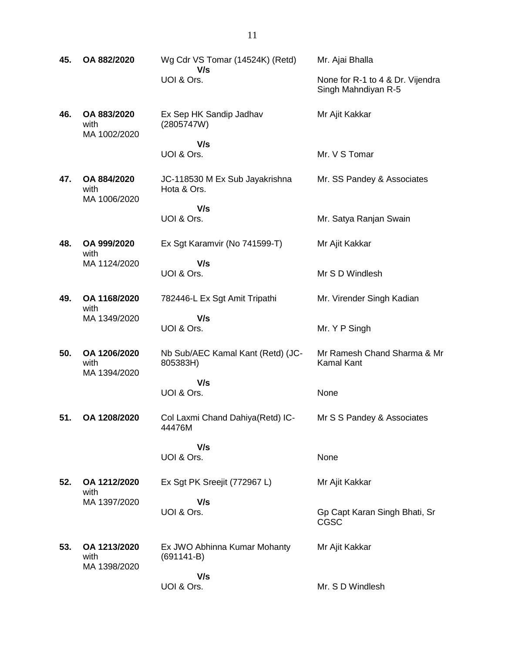- **45. OA 882/2020** Wg Cdr VS Tomar (14524K) (Retd)  **V/s** UOI & Ors. Mr. Ajai Bhalla None for R-1 to 4 & Dr. Vijendra Singh Mahndiyan R-5 **46. OA 883/2020** with MA 1002/2020 Ex Sep HK Sandip Jadhav (2805747W)  **V/s** UOI & Ors. Mr Ajit Kakkar Mr. V S Tomar **47. OA 884/2020** with MA 1006/2020 JC-118530 M Ex Sub Jayakrishna Hota & Ors.  **V/s** UOI & Ors. Mr. SS Pandey & Associates Mr. Satya Ranjan Swain **48. OA 999/2020** with MA 1124/2020 Ex Sgt Karamvir (No 741599-T)  **V/s** UOI & Ors. Mr Ajit Kakkar Mr S D Windlesh **49. OA 1168/2020** with MA 1349/2020 782446-L Ex Sgt Amit Tripathi  **V/s** UOI & Ors. Mr. Virender Singh Kadian Mr. Y P Singh **50. OA 1206/2020** with MA 1394/2020 Nb Sub/AEC Kamal Kant (Retd) (JC-805383H)  **V/s** UOI & Ors. Mr Ramesh Chand Sharma & Mr Kamal Kant None **51. OA 1208/2020** Col Laxmi Chand Dahiya(Retd) IC-44476M  **V/s** UOI & Ors. Mr S S Pandey & Associates None **52. OA 1212/2020** with MA 1397/2020 Ex Sgt PK Sreejit (772967 L)  **V/s** UOI & Ors. Mr Ajit Kakkar Gp Capt Karan Singh Bhati, Sr CGSC **53. OA 1213/2020** with MA 1398/2020 Ex JWO Abhinna Kumar Mohanty (691141-B)  **V/s** Mr Ajit Kakkar
	- UOI & Ors. Mr. S D Windlesh

11